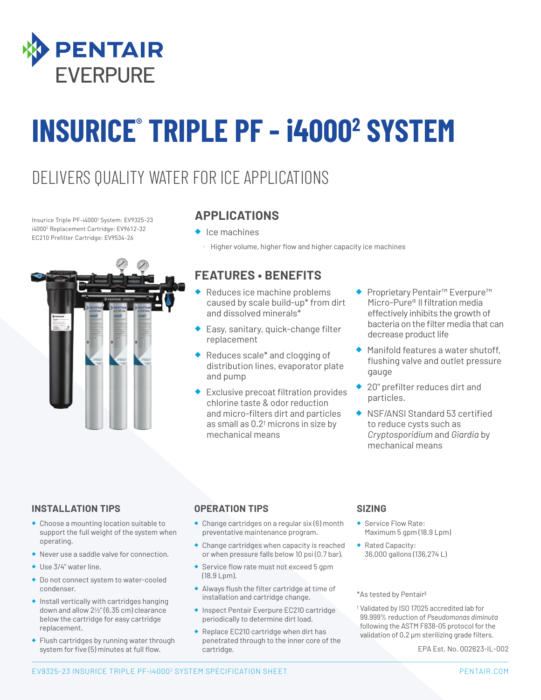

# **INSURICE® TRIPLE PF - i40002 SYSTEM**

### DELIVERS QUALITY WATER FOR ICE APPLICATIONS

Insurice Triple PF-i40002 System: EV9325-23 i40002 Replacement Cartridge: EV9612-32 EC210 Prefilter Cartridge: EV9534-26



#### **APPLICATIONS**

- ◆ Ice machines
	- Higher volume, higher flow and higher capacity ice machines

#### **FEATURES • BENEFITS**

- Reduces ice machine problems caused by scale build-up\* from dirt and dissolved minerals\*
- ◆ Easy, sanitary, quick-change filter replacement
- ◆ Reduces scale<sup>\*</sup> and clogging of distribution lines, evaporator plate and pump
- ◆ Exclusive precoat filtration provides chlorine taste & odor reduction and micro-filters dirt and particles as small as 0.2† microns in size by mechanical means
- ◆ Proprietary Pentair<sup>™</sup> Everpure<sup>™</sup> Micro-Pure® II filtration media effectively inhibits the growth of bacteria on the filter media that can decrease product life
- ◆ Manifold features a water shutoff, flushing valve and outlet pressure gauge
- ◆ 20" prefilter reduces dirt and particles.
- ◆ NSF/ANSI Standard 53 certified to reduce cysts such as *Cryptosporidium* and *Giardia* by mechanical means

#### **INSTALLATION TIPS**

- ◆ Choose a mounting location suitable to support the full weight of the system when operating.
- ◆ Never use a saddle valve for connection.
- ◆ Use 3/4" water line.
- ◆ Do not connect system to water-cooled condenser.
- ◆ Install vertically with cartridges hanging down and allow 21/2" (6.35 cm) clearance below the cartridge for easy cartridge replacement.
- ◆ Flush cartridges by running water through system for five (5) minutes at full flow.

#### **OPERATION TIPS**

- ◆ Change cartridges on a regular six (6) month preventative maintenance program.
- ◆ Change cartridges when capacity is reached or when pressure falls below 10 psi (0.7 bar).
- ◆ Service flow rate must not exceed 5 gpm (18.9 Lpm).
- ◆ Always flush the filter cartridge at time of installation and cartridge change.
- ◆ Inspect Pentair Everpure EC210 cartridge periodically to determine dirt load.
- ◆ Replace EC210 cartridge when dirt has penetrated through to the inner core of the cartridge.

#### **SIZING**

- Service Flow Rate: Maximum 5 gpm (18.9 Lpm)
- ◆ Rated Capacity: 36,000 gallons (136,274 L)

\*As tested by Pentair§

† Validated by ISO 17025 accredited lab for 99.999% reduction of *Pseudomonas diminuta* following the ASTM F838-05 protocol for the validation of 0.2 μm sterilizing grade filters.

EPA Est. No. 002623-IL-002